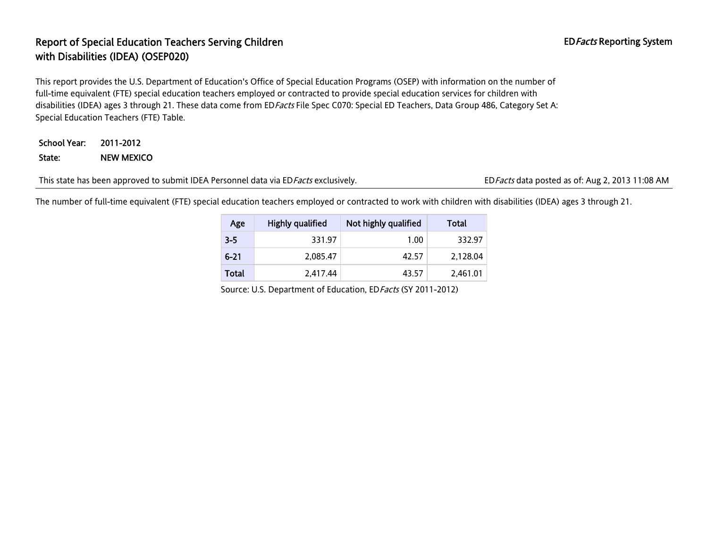## Report of Special Education Teachers Serving Children EDFacts Reporting System EDFacts Reporting System with Disabilities (IDEA) (OSEP020)

This report provides the U.S. Department of Education's Office of Special Education Programs (OSEP) with information on the number of full-time equivalent (FTE) special education teachers employed or contracted to provide special education services for children with disabilities (IDEA) ages 3 through 21. These data come from ED Facts File Spec C070: Special ED Teachers, Data Group 486, Category Set A: Special Education Teachers (FTE) Table.

## School Year: 2011-2012 State: NEW MEXICO

This state has been approved to submit IDEA Personnel data via ED*Facts* exclusively. EDFacts data posted as of: Aug 2, 2013 11:08 AM

The number of full-time equivalent (FTE) special education teachers employed or contracted to work with children with disabilities (IDEA) ages 3 through 21.

| Age      | <b>Highly qualified</b> | Not highly qualified | Total    |
|----------|-------------------------|----------------------|----------|
| $3 - 5$  | 331.97                  | 1.00                 | 332.97   |
| $6 - 21$ | 2.085.47                | 42.57                | 2.128.04 |
| Total    | 2,417.44                | 43.57                | 2,461.01 |

Source: U.S. Department of Education, EDFacts (SY 2011-2012)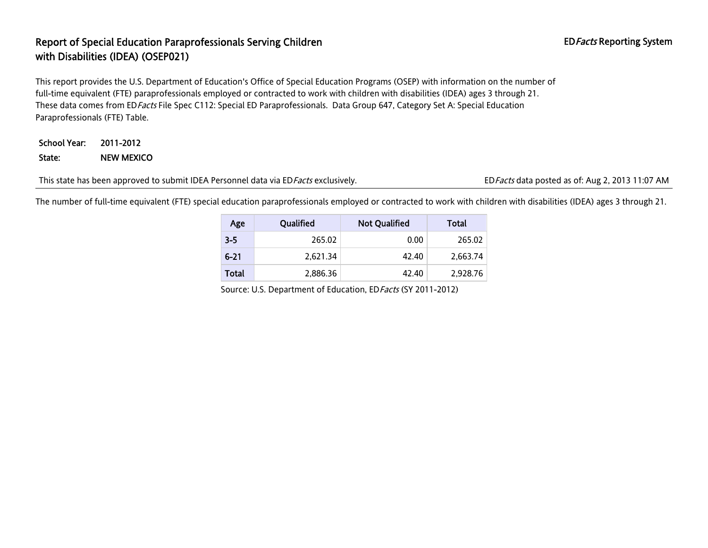## Report of Special Education Paraprofessionals Serving Children EDFacts Reporting System with Disabilities (IDEA) (OSEP021)

This report provides the U.S. Department of Education's Office of Special Education Programs (OSEP) with information on the number of full-time equivalent (FTE) paraprofessionals employed or contracted to work with children with disabilities (IDEA) ages 3 through 21. These data comes from ED Facts File Spec C112: Special ED Paraprofessionals. Data Group 647, Category Set A: Special Education Paraprofessionals (FTE) Table.

#### School Year: 2011-2012 State: NEW MEXICO

This state has been approved to submit IDEA Personnel data via ED Facts exclusively. EDFacts data posted as of: Aug 2, 2013 11:07 AM

The number of full-time equivalent (FTE) special education paraprofessionals employed or contracted to work with children with disabilities (IDEA) ages 3 through 21.

| Age      | Qualified | <b>Not Qualified</b> | <b>Total</b> |
|----------|-----------|----------------------|--------------|
| $3 - 5$  | 265.02    | 0.00                 | 265.02       |
| $6 - 21$ | 2.621.34  | 42.40                | 2.663.74     |
| Total    | 2,886.36  | 42.40                | 2,928.76     |

Source: U.S. Department of Education, EDFacts (SY 2011-2012)